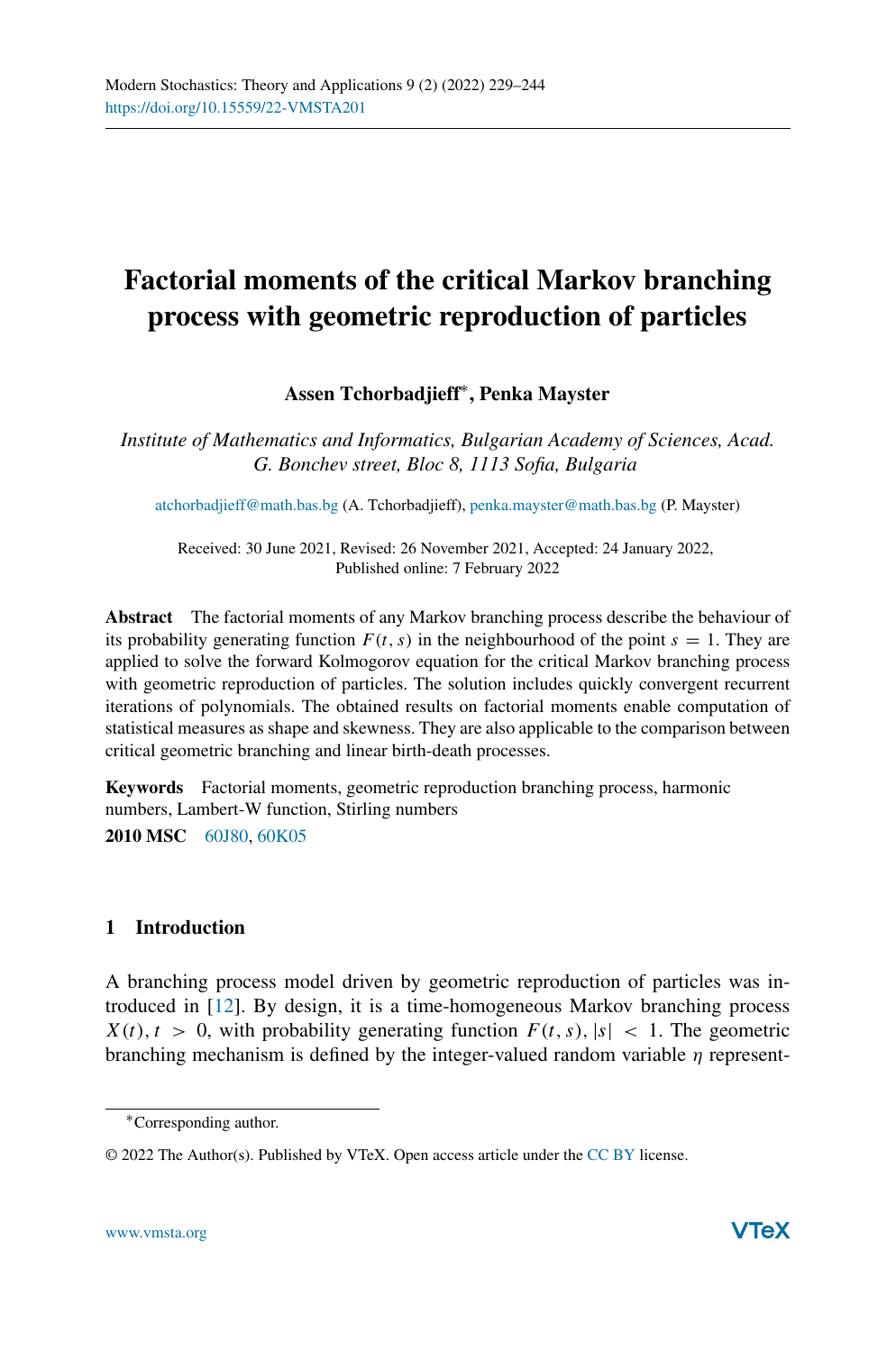# **Factorial moments of the critical Markov branching process with geometric reproduction of particles**

## **Assen Tchorbadjieff**∗**, Penka Mayster**

*Institute of Mathematics and Informatics, Bulgarian Academy of Sciences, Acad. G. Bonchev street, Bloc 8, 1113 Sofia, Bulgaria*

[atchorbadjieff@math.bas.bg](mailto:atchorbadjieff@math.bas.bg) (A. Tchorbadjieff), [penka.mayster@math.bas.bg](mailto:penka.mayster@math.bas.bg) (P. Mayster)

Received: 30 June 2021, Revised: 26 November 2021, Accepted: 24 January 2022, Published online: 7 February 2022

**Abstract** The factorial moments of any Markov branching process describe the behaviour of its probability generating function  $F(t, s)$  in the neighbourhood of the point  $s = 1$ . They are applied to solve the forward Kolmogorov equation for the critical Markov branching process with geometric reproduction of particles. The solution includes quickly convergent recurrent iterations of polynomials. The obtained results on factorial moments enable computation of statistical measures as shape and skewness. They are also applicable to the comparison between critical geometric branching and linear birth-death processes.

**Keywords** Factorial moments, geometric reproduction branching process, harmonic numbers, Lambert-W function, Stirling numbers **2010 MSC** [60J80,](http://www.ams.org/msc/msc2010.html?s=60J80) [60K05](http://www.ams.org/msc/msc2010.html?s=60K05)

### **1 Introduction**

A branching process model driven by geometric reproduction of particles was introduced in [\[12](#page-15-0)]. By design, it is a time-homogeneous Markov branching process  $X(t), t > 0$ , with probability generating function  $F(t, s), |s| < 1$ . The geometric branching mechanism is defined by the integer-valued random variable *η* represent-

<sup>∗</sup>Corresponding author.

<sup>© 2022</sup> The Author(s). Published by VTeX. Open access article under the [CC BY](http://creativecommons.org/licenses/by/4.0/) license.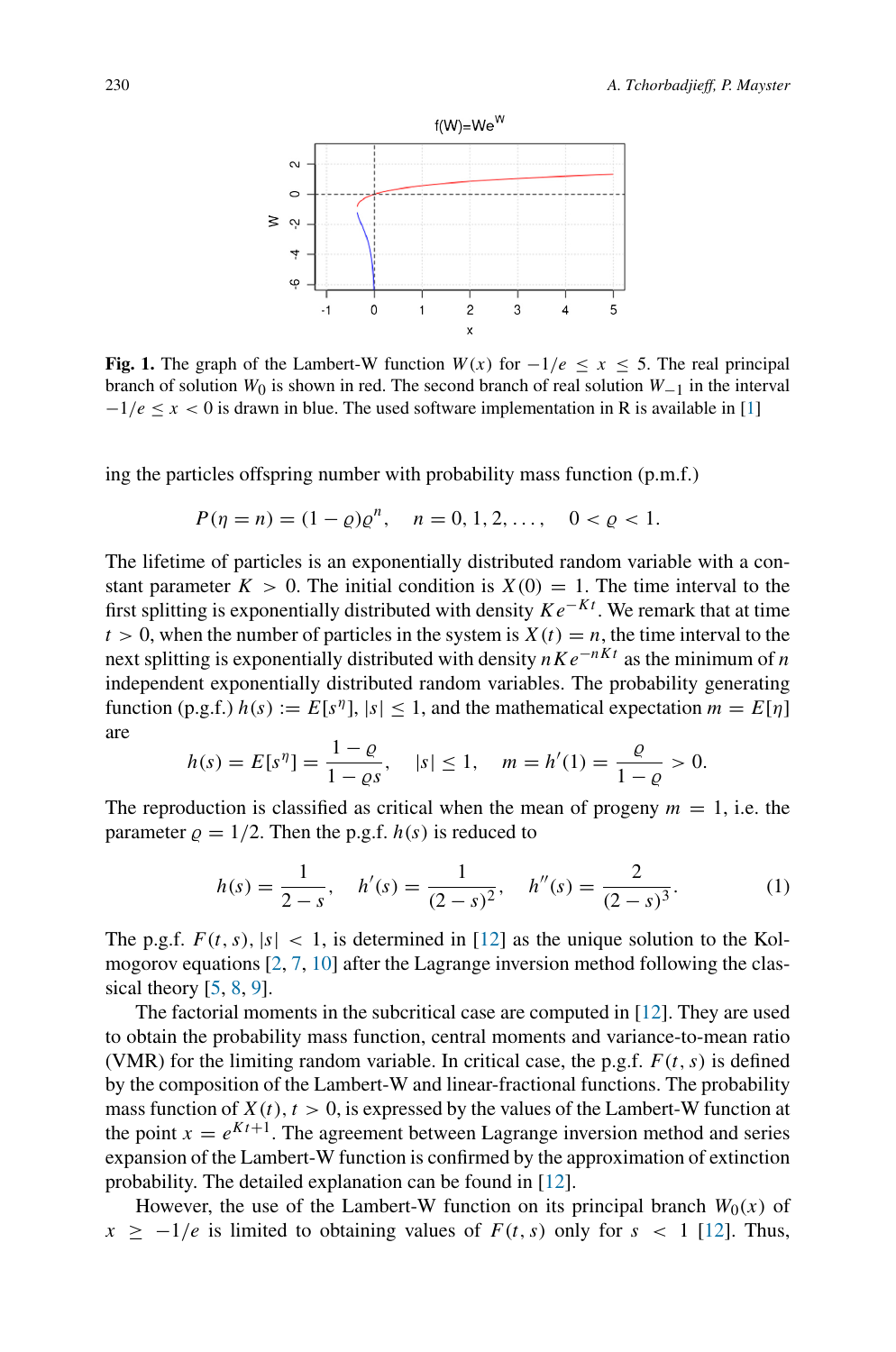<span id="page-1-0"></span>

**Fig. 1.** The graph of the Lambert-W function  $W(x)$  for  $-1/e < x < 5$ . The real principal branch of solution *W*0 is shown in red. The second branch of real solution *W*−1 in the interval  $-1/e \le x < 0$  is drawn in blue. The used software implementation in R is available in [\[1](#page-15-1)]

ing the particles offspring number with probability mass function (p.m.f.)

$$
P(\eta = n) = (1 - \varrho)\varrho^{n}, \quad n = 0, 1, 2, \dots, \quad 0 < \varrho < 1.
$$

The lifetime of particles is an exponentially distributed random variable with a constant parameter  $K > 0$ . The initial condition is  $X(0) = 1$ . The time interval to the first splitting is exponentially distributed with density *Ke*−*Kt* . We remark that at time  $t > 0$ , when the number of particles in the system is  $X(t) = n$ , the time interval to the next splitting is exponentially distributed with density *nKe*−*nKt* as the minimum of *n* independent exponentially distributed random variables. The probability generating function (p.g.f.)  $h(s) := E[s^{\eta}], |s| < 1$ , and the mathematical expectation  $m = E[\eta]$ are

$$
h(s) = E[s\eta] = \frac{1 - \varrho}{1 - \varrho s}, \quad |s| \le 1, \quad m = h'(1) = \frac{\varrho}{1 - \varrho} > 0.
$$

The reproduction is classified as critical when the mean of progeny  $m = 1$ , i.e. the parameter  $\rho = 1/2$ . Then the p.g.f.  $h(s)$  is reduced to

<span id="page-1-1"></span>
$$
h(s) = \frac{1}{2-s}, \quad h'(s) = \frac{1}{(2-s)^2}, \quad h''(s) = \frac{2}{(2-s)^3}.
$$
 (1)

The p.g.f.  $F(t, s)$ ,  $|s| < 1$ , is determined in [\[12](#page-15-0)] as the unique solution to the Kolmogorov equations [\[2,](#page-15-2) [7,](#page-15-3) [10](#page-15-4)] after the Lagrange inversion method following the classical theory  $[5, 8, 9]$  $[5, 8, 9]$  $[5, 8, 9]$  $[5, 8, 9]$  $[5, 8, 9]$ .

The factorial moments in the subcritical case are computed in [\[12\]](#page-15-0). They are used to obtain the probability mass function, central moments and variance-to-mean ratio (VMR) for the limiting random variable. In critical case, the p.g.f.  $F(t, s)$  is defined by the composition of the Lambert-W and linear-fractional functions. The probability mass function of  $X(t)$ ,  $t > 0$ , is expressed by the values of the Lambert-W function at the point  $x = e^{Kt+1}$ . The agreement between Lagrange inversion method and series expansion of the Lambert-W function is confirmed by the approximation of extinction probability. The detailed explanation can be found in [\[12](#page-15-0)].

However, the use of the Lambert-W function on its principal branch  $W_0(x)$  of  $x \ge -1/e$  is limited to obtaining values of  $F(t, s)$  only for  $s < 1$  [\[12\]](#page-15-0). Thus,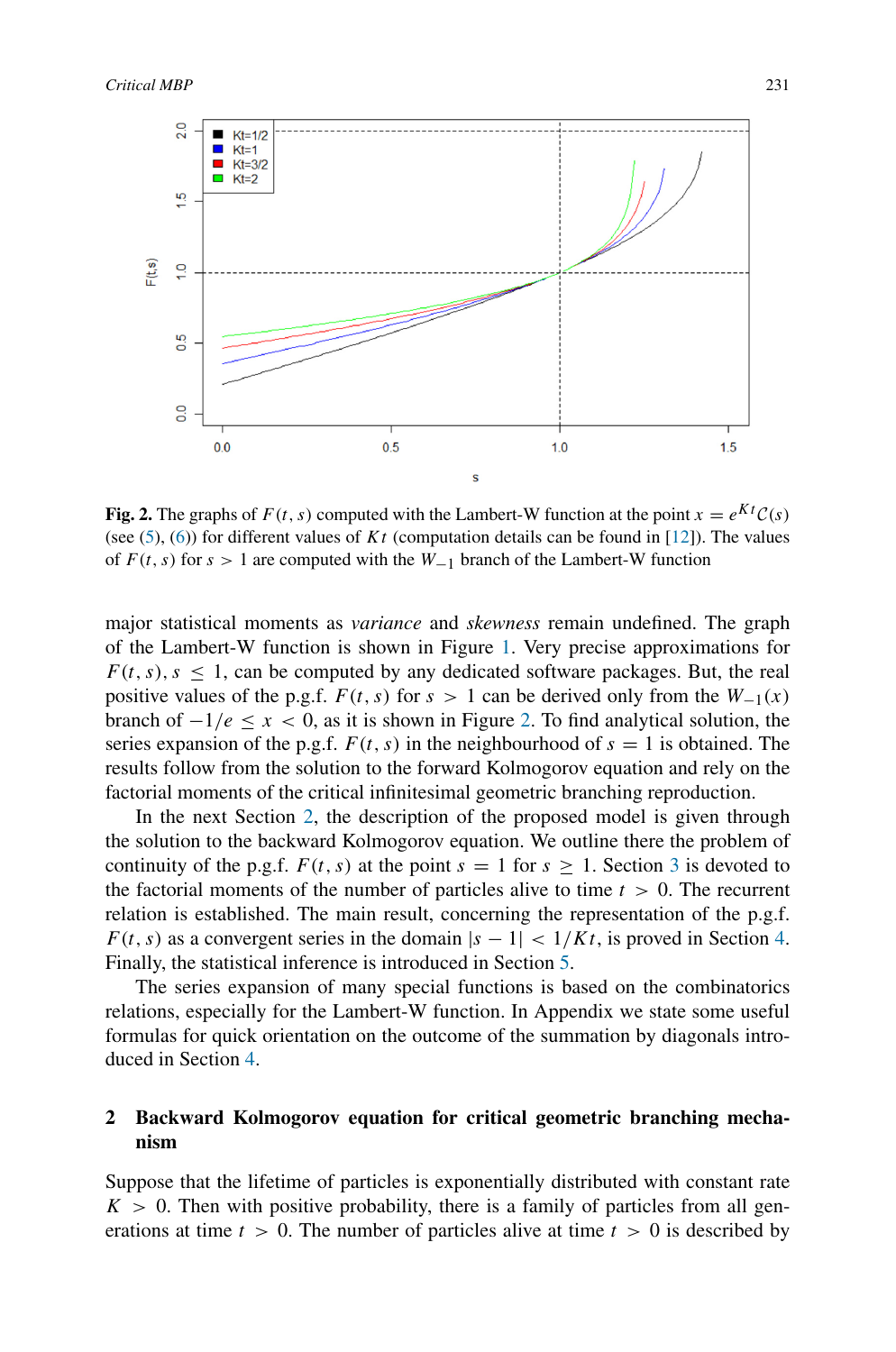<span id="page-2-0"></span>

**Fig. 2.** The graphs of  $F(t, s)$  computed with the Lambert-W function at the point  $x = e^{Kt}C(s)$ (see [\(5\)](#page-3-0), [\(6\)](#page-4-0)) for different values of *Kt* (computation details can be found in [\[12\]](#page-15-0)). The values of  $F(t, s)$  for  $s > 1$  are computed with the  $W_{-1}$  branch of the Lambert-W function

major statistical moments as *variance* and *skewness* remain undefined. The graph of the Lambert-W function is shown in Figure [1.](#page-1-0) Very precise approximations for  $F(t, s)$ ,  $s < 1$ , can be computed by any dedicated software packages. But, the real positive values of the p.g.f.  $F(t, s)$  for  $s > 1$  can be derived only from the  $W_{-1}(x)$ branch of  $-1/e < x < 0$ , as it is shown in Figure [2.](#page-2-0) To find analytical solution, the series expansion of the p.g.f.  $F(t, s)$  in the neighbourhood of  $s = 1$  is obtained. The results follow from the solution to the forward Kolmogorov equation and rely on the factorial moments of the critical infinitesimal geometric branching reproduction.

In the next Section [2,](#page-2-1) the description of the proposed model is given through the solution to the backward Kolmogorov equation. We outline there the problem of continuity of the p.g.f.  $F(t, s)$  at the point  $s = 1$  for  $s > 1$ . Section [3](#page-5-0) is devoted to the factorial moments of the number of particles alive to time *t >* 0. The recurrent relation is established. The main result, concerning the representation of the p.g.f. *F*(*t*, *s*) as a convergent series in the domain  $|s - 1|$  <  $1/Kt$ , is proved in Section [4.](#page-7-0) Finally, the statistical inference is introduced in Section [5.](#page-11-0)

The series expansion of many special functions is based on the combinatorics relations, especially for the Lambert-W function. In Appendix we state some useful formulas for quick orientation on the outcome of the summation by diagonals introduced in Section [4.](#page-7-0)

## <span id="page-2-1"></span>**2 Backward Kolmogorov equation for critical geometric branching mechanism**

Suppose that the lifetime of particles is exponentially distributed with constant rate  $K > 0$ . Then with positive probability, there is a family of particles from all generations at time  $t > 0$ . The number of particles alive at time  $t > 0$  is described by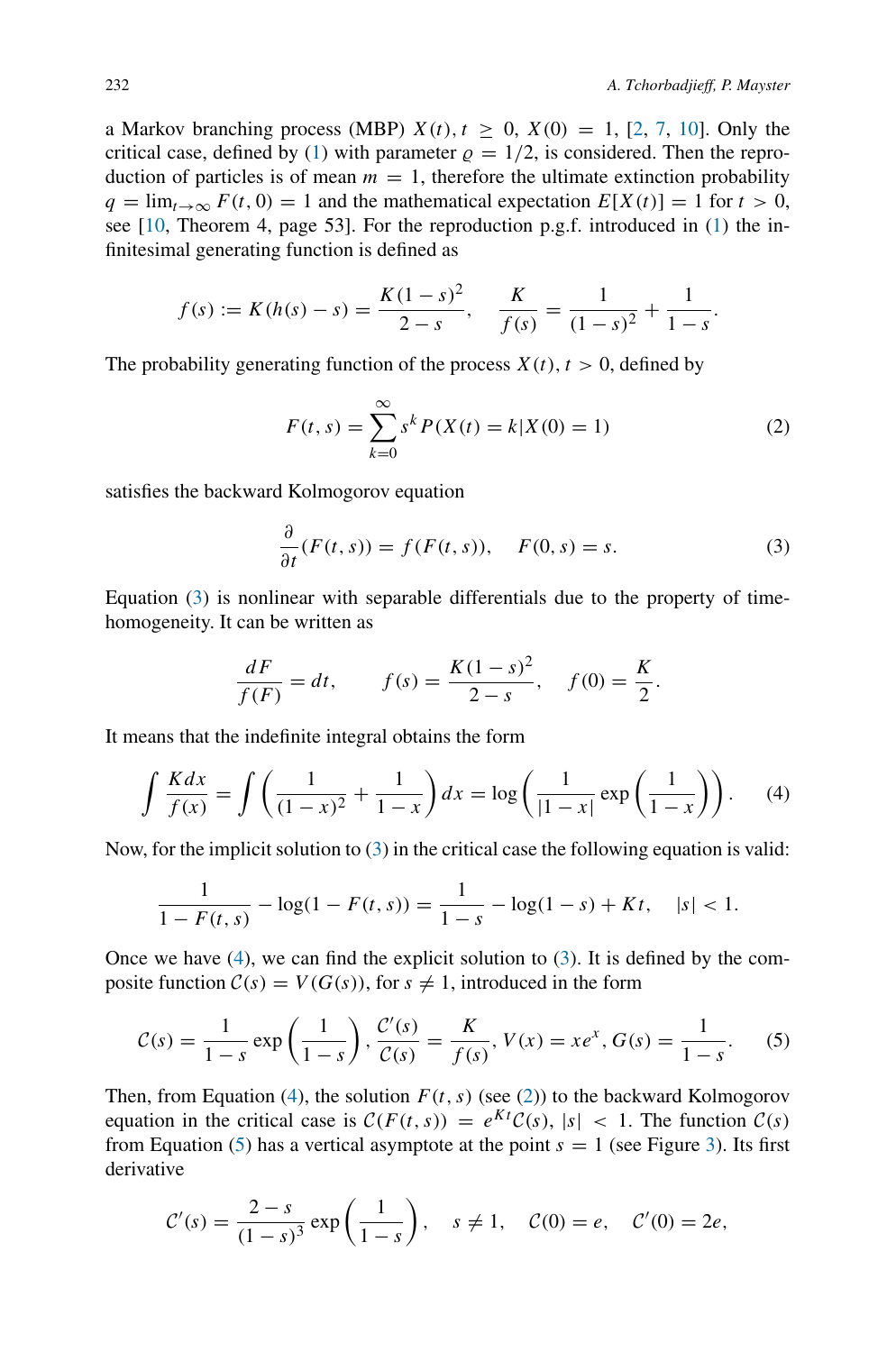a Markov branching process (MBP)  $X(t)$ ,  $t \ge 0$ ,  $X(0) = 1$ , [\[2,](#page-15-2) [7,](#page-15-3) [10\]](#page-15-4). Only the critical case, defined by [\(1\)](#page-1-1) with parameter  $\rho = 1/2$ , is considered. Then the reproduction of particles is of mean  $m = 1$ , therefore the ultimate extinction probability  $q = \lim_{t \to \infty} F(t, 0) = 1$  and the mathematical expectation  $E[X(t)] = 1$  for  $t > 0$ , see [\[10](#page-15-4), Theorem 4, page 53]. For the reproduction p.g.f. introduced in [\(1\)](#page-1-1) the infinitesimal generating function is defined as

$$
f(s) := K(h(s) - s) = \frac{K(1 - s)^2}{2 - s}, \quad \frac{K}{f(s)} = \frac{1}{(1 - s)^2} + \frac{1}{1 - s}.
$$

The probability generating function of the process  $X(t)$ ,  $t > 0$ , defined by

<span id="page-3-3"></span>
$$
F(t,s) = \sum_{k=0}^{\infty} s^k P(X(t) = k | X(0) = 1)
$$
 (2)

satisfies the backward Kolmogorov equation

<span id="page-3-1"></span>
$$
\frac{\partial}{\partial t}(F(t,s)) = f(F(t,s)), \quad F(0,s) = s.
$$
 (3)

Equation [\(3\)](#page-3-1) is nonlinear with separable differentials due to the property of timehomogeneity. It can be written as

$$
\frac{dF}{f(F)} = dt, \qquad f(s) = \frac{K(1-s)^2}{2-s}, \quad f(0) = \frac{K}{2}.
$$

It means that the indefinite integral obtains the form

<span id="page-3-2"></span>
$$
\int \frac{K dx}{f(x)} = \int \left(\frac{1}{(1-x)^2} + \frac{1}{1-x}\right) dx = \log\left(\frac{1}{|1-x|}\exp\left(\frac{1}{1-x}\right)\right).
$$
 (4)

Now, for the implicit solution to  $(3)$  in the critical case the following equation is valid:

$$
\frac{1}{1 - F(t, s)} - \log(1 - F(t, s)) = \frac{1}{1 - s} - \log(1 - s) + Kt, \quad |s| < 1.
$$

Once we have  $(4)$ , we can find the explicit solution to  $(3)$ . It is defined by the composite function  $C(s) = V(G(s))$ , for  $s \neq 1$ , introduced in the form

<span id="page-3-0"></span>
$$
C(s) = \frac{1}{1-s} \exp\left(\frac{1}{1-s}\right), \frac{C'(s)}{C(s)} = \frac{K}{f(s)}, V(x) = xe^x, G(s) = \frac{1}{1-s}.
$$
 (5)

Then, from Equation [\(4\)](#page-3-2), the solution  $F(t, s)$  (see [\(2\)](#page-3-3)) to the backward Kolmogorov equation in the critical case is  $C(F(t, s)) = e^{Kt}C(s)$ ,  $|s| < 1$ . The function  $C(s)$ from Equation [\(5\)](#page-3-0) has a vertical asymptote at the point  $s = 1$  (see Figure [3\)](#page-4-1). Its first derivative

$$
\mathcal{C}'(s) = \frac{2-s}{(1-s)^3} \exp\left(\frac{1}{1-s}\right), \quad s \neq 1, \quad \mathcal{C}(0) = e, \quad \mathcal{C}'(0) = 2e,
$$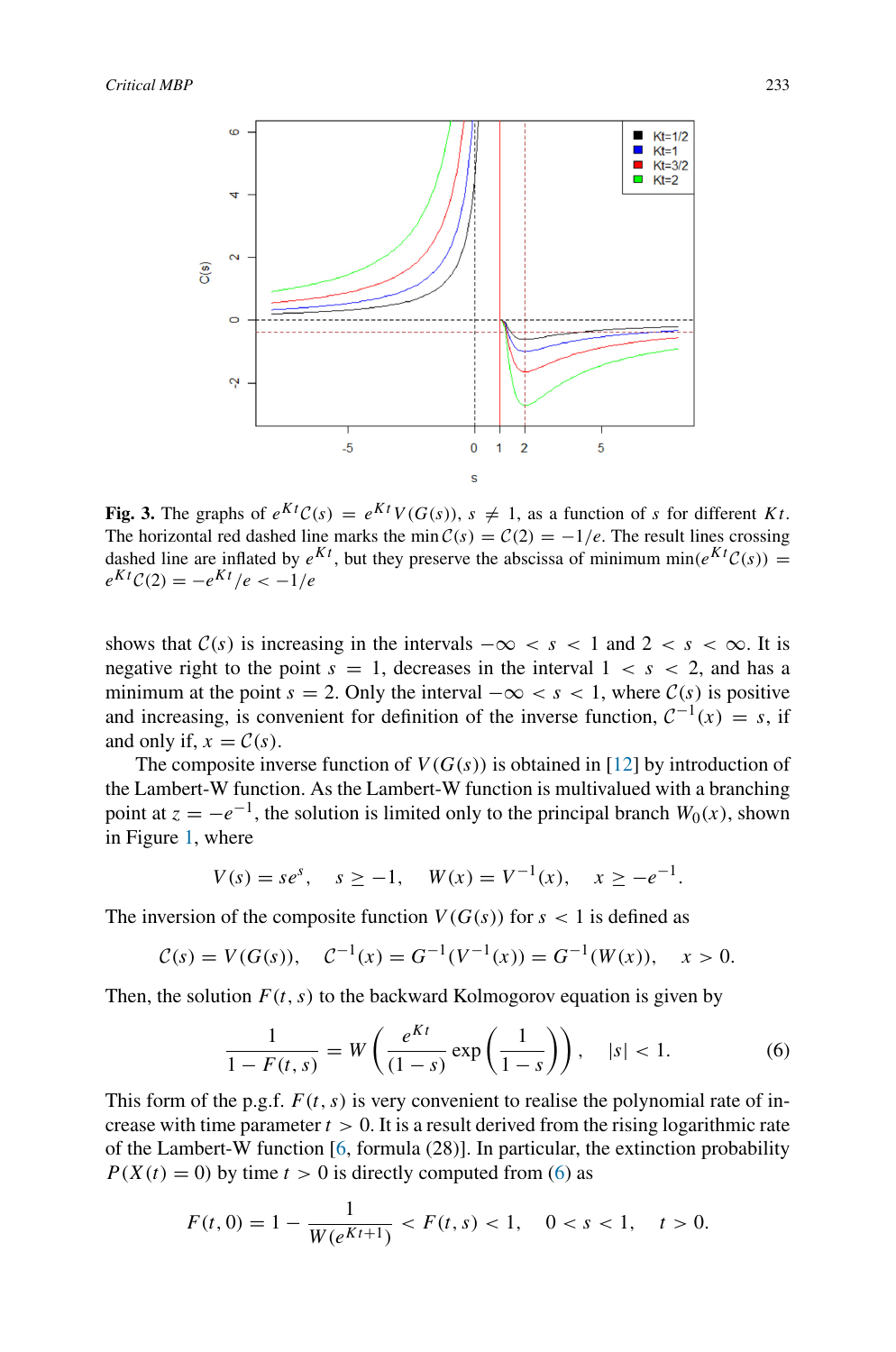<span id="page-4-1"></span>

**Fig. 3.** The graphs of  $e^{Kt}C(s) = e^{Kt}V(G(s))$ ,  $s \neq 1$ , as a function of *s* for different *Kt*. The horizontal red dashed line marks the min  $C(s) = C(2) = -1/e$ . The result lines crossing dashed line are inflated by  $e^{Kt}$ , but they preserve the abscissa of minimum min $(e^{Kt}\mathcal{C}(s))$  =  $e^{Kt}C(2) = -e^{Kt}/e < -1/e$ 

shows that  $C(s)$  is increasing in the intervals  $-\infty < s < 1$  and  $2 < s < \infty$ . It is negative right to the point  $s = 1$ , decreases in the interval  $1 < s < 2$ , and has a minimum at the point  $s = 2$ . Only the interval  $-\infty < s < 1$ , where  $C(s)$  is positive and increasing, is convenient for definition of the inverse function,  $C^{-1}(x) = s$ , if and only if,  $x = C(s)$ .

The composite inverse function of  $V(G(s))$  is obtained in [\[12\]](#page-15-0) by introduction of the Lambert-W function. As the Lambert-W function is multivalued with a branching point at  $z = -e^{-1}$ , the solution is limited only to the principal branch  $W_0(x)$ , shown in Figure [1,](#page-1-0) where

$$
V(s) = s e^s, \quad s \ge -1, \quad W(x) = V^{-1}(x), \quad x \ge -e^{-1}.
$$

The inversion of the composite function  $V(G(s))$  for  $s < 1$  is defined as

$$
C(s) = V(G(s)), \quad C^{-1}(x) = G^{-1}(V^{-1}(x)) = G^{-1}(W(x)), \quad x > 0.
$$

Then, the solution  $F(t, s)$  to the backward Kolmogorov equation is given by

<span id="page-4-0"></span>
$$
\frac{1}{1 - F(t, s)} = W\left(\frac{e^{Kt}}{(1 - s)} \exp\left(\frac{1}{1 - s}\right)\right), \quad |s| < 1. \tag{6}
$$

This form of the p.g.f.  $F(t, s)$  is very convenient to realise the polynomial rate of increase with time parameter  $t > 0$ . It is a result derived from the rising logarithmic rate of the Lambert-W function [\[6,](#page-15-8) formula (28)]. In particular, the extinction probability  $P(X(t) = 0)$  by time  $t > 0$  is directly computed from [\(6\)](#page-4-0) as

$$
F(t,0) = 1 - \frac{1}{W(e^{Kt+1})} < F(t,s) < 1, \quad 0 < s < 1, \quad t > 0.
$$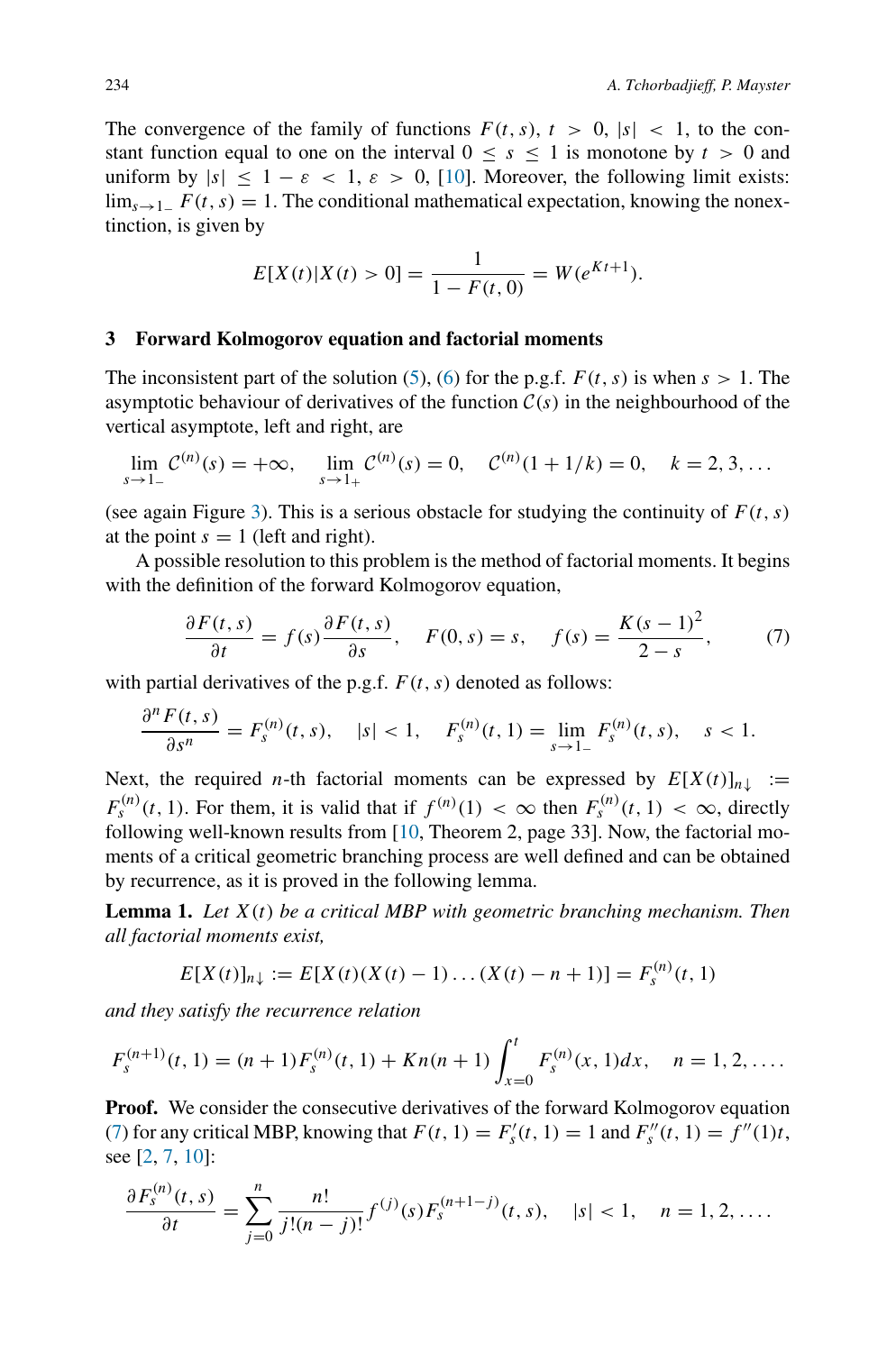The convergence of the family of functions  $F(t, s)$ ,  $t > 0$ ,  $|s| < 1$ , to the constant function equal to one on the interval  $0 \leq s \leq 1$  is monotone by  $t > 0$  and uniform by  $|s| \leq 1 - \varepsilon < 1$ ,  $\varepsilon > 0$ , [\[10\]](#page-15-4). Moreover, the following limit exists: lim<sub>s→1</sub> $F(t, s) = 1$ . The conditional mathematical expectation, knowing the nonextinction, is given by

$$
E[X(t)|X(t) > 0] = \frac{1}{1 - F(t, 0)} = W(e^{Kt+1}).
$$

#### <span id="page-5-0"></span>**3 Forward Kolmogorov equation and factorial moments**

The inconsistent part of the solution [\(5\)](#page-3-0), [\(6\)](#page-4-0) for the p.g.f.  $F(t, s)$  is when  $s > 1$ . The asymptotic behaviour of derivatives of the function  $C(s)$  in the neighbourhood of the vertical asymptote, left and right, are

$$
\lim_{s \to 1^-} \mathcal{C}^{(n)}(s) = +\infty, \quad \lim_{s \to 1^+} \mathcal{C}^{(n)}(s) = 0, \quad \mathcal{C}^{(n)}(1 + 1/k) = 0, \quad k = 2, 3, \dots
$$

(see again Figure [3\)](#page-4-1). This is a serious obstacle for studying the continuity of  $F(t, s)$ at the point  $s = 1$  (left and right).

A possible resolution to this problem is the method of factorial moments. It begins with the definition of the forward Kolmogorov equation,

<span id="page-5-1"></span>
$$
\frac{\partial F(t,s)}{\partial t} = f(s)\frac{\partial F(t,s)}{\partial s}, \quad F(0,s) = s, \quad f(s) = \frac{K(s-1)^2}{2-s}, \quad (7)
$$

with partial derivatives of the p.g.f.  $F(t, s)$  denoted as follows:

$$
\frac{\partial^n F(t,s)}{\partial s^n} = F_s^{(n)}(t,s), \quad |s| < 1, \quad F_s^{(n)}(t,1) = \lim_{s \to 1^-} F_s^{(n)}(t,s), \quad s < 1.
$$

Next, the required *n*-th factorial moments can be expressed by  $E[X(t)]_{n\downarrow}$  :=  $F_s^{(n)}(t, 1)$ . For them, it is valid that if  $f^{(n)}(1) < \infty$  then  $F_s^{(n)}(t, 1) < \infty$ , directly following well-known results from [\[10](#page-15-4), Theorem 2, page 33]. Now, the factorial moments of a critical geometric branching process are well defined and can be obtained by recurrence, as it is proved in the following lemma.

**Lemma 1.** *Let X(t) be a critical MBP with geometric branching mechanism. Then all factorial moments exist,*

$$
E[X(t)]_{n\downarrow} := E[X(t)(X(t) - 1) \dots (X(t) - n + 1)] = F_s^{(n)}(t, 1)
$$

*and they satisfy the recurrence relation*

$$
F_s^{(n+1)}(t,1) = (n+1)F_s^{(n)}(t,1) + Kn(n+1) \int_{x=0}^t F_s^{(n)}(x,1)dx, \quad n = 1, 2, ....
$$

**Proof.** We consider the consecutive derivatives of the forward Kolmogorov equation [\(7\)](#page-5-1) for any critical MBP, knowing that  $F(t, 1) = F'_{s}(t, 1) = 1$  and  $F''_{s}(t, 1) = f''(1)t$ , see [\[2](#page-15-2), [7](#page-15-3), [10](#page-15-4)]:

$$
\frac{\partial F_s^{(n)}(t,s)}{\partial t} = \sum_{j=0}^n \frac{n!}{j!(n-j)!} f^{(j)}(s) F_s^{(n+1-j)}(t,s), \quad |s| < 1, \quad n = 1, 2, \dots.
$$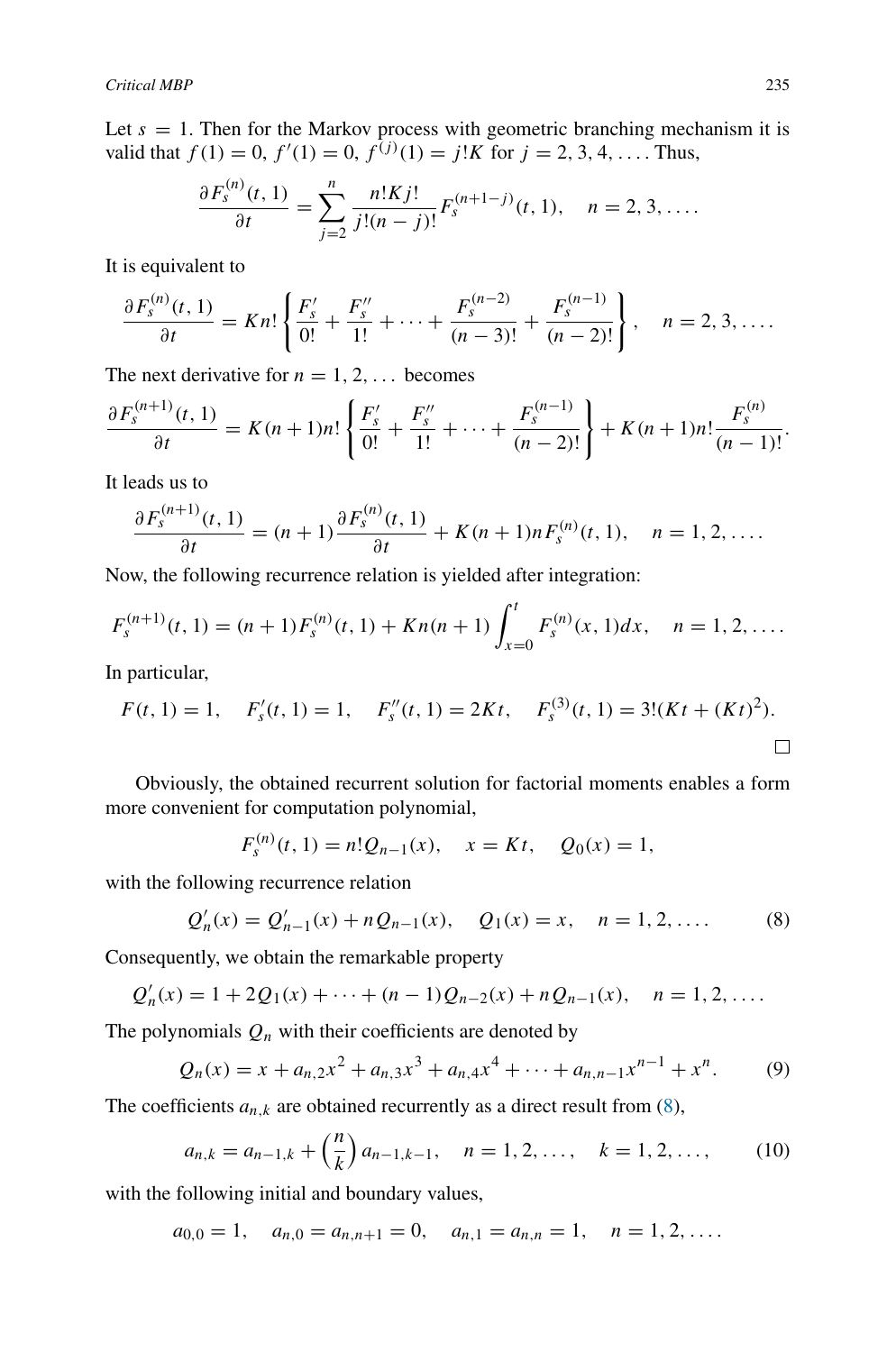Let  $s = 1$ . Then for the Markov process with geometric branching mechanism it is valid that  $f(1) = 0$ ,  $f'(1) = 0$ ,  $f^{(j)}(1) = j!K$  for  $j = 2, 3, 4, \ldots$ . Thus,

$$
\frac{\partial F_s^{(n)}(t,1)}{\partial t} = \sum_{j=2}^n \frac{n!Kj!}{j!(n-j)!} F_s^{(n+1-j)}(t,1), \quad n = 2, 3, ....
$$

It is equivalent to

$$
\frac{\partial F_s^{(n)}(t,1)}{\partial t} = Kn! \left\{ \frac{F_s'}{0!} + \frac{F_s''}{1!} + \dots + \frac{F_s^{(n-2)}}{(n-3)!} + \frac{F_s^{(n-1)}}{(n-2)!} \right\}, \quad n = 2, 3, \dots.
$$

The next derivative for  $n = 1, 2, \ldots$  becomes

$$
\frac{\partial F_s^{(n+1)}(t,1)}{\partial t}=K(n+1)n!\left\{\frac{F'_s}{0!}+\frac{F''_s}{1!}+\cdots+\frac{F_s^{(n-1)}}{(n-2)!}\right\}+K(n+1)n!\frac{F_s^{(n)}}{(n-1)!}.
$$

It leads us to

$$
\frac{\partial F_s^{(n+1)}(t,1)}{\partial t} = (n+1)\frac{\partial F_s^{(n)}(t,1)}{\partial t} + K(n+1)nF_s^{(n)}(t,1), \quad n = 1, 2, ....
$$

Now, the following recurrence relation is yielded after integration:

$$
F_s^{(n+1)}(t,1) = (n+1)F_s^{(n)}(t,1) + Kn(n+1) \int_{x=0}^t F_s^{(n)}(x,1)dx, \quad n = 1, 2, ....
$$

In particular,

$$
F(t, 1) = 1
$$
,  $F'_{s}(t, 1) = 1$ ,  $F''_{s}(t, 1) = 2Kt$ ,  $F^{(3)}_{s}(t, 1) = 3!(Kt + (Kt)^{2})$ .

Obviously, the obtained recurrent solution for factorial moments enables a form more convenient for computation polynomial,

$$
F_s^{(n)}(t,1) = n!Q_{n-1}(x), \quad x = Kt, \quad Q_0(x) = 1,
$$

with the following recurrence relation

<span id="page-6-0"></span>
$$
Q'_n(x) = Q'_{n-1}(x) + nQ_{n-1}(x), \quad Q_1(x) = x, \quad n = 1, 2, ....
$$
 (8)

Consequently, we obtain the remarkable property

$$
Q'_n(x) = 1 + 2Q_1(x) + \cdots + (n-1)Q_{n-2}(x) + nQ_{n-1}(x), \quad n = 1, 2, \ldots
$$

The polynomials  $Q_n$  with their coefficients are denoted by

<span id="page-6-1"></span>
$$
Q_n(x) = x + a_{n,2}x^2 + a_{n,3}x^3 + a_{n,4}x^4 + \dots + a_{n,n-1}x^{n-1} + x^n.
$$
 (9)

The coefficients  $a_{n,k}$  are obtained recurrently as a direct result from  $(8)$ ,

<span id="page-6-2"></span>
$$
a_{n,k} = a_{n-1,k} + \left(\frac{n}{k}\right) a_{n-1,k-1}, \quad n = 1, 2, \dots, \quad k = 1, 2, \dots
$$
 (10)

with the following initial and boundary values,

$$
a_{0,0} = 1
$$
,  $a_{n,0} = a_{n,n+1} = 0$ ,  $a_{n,1} = a_{n,n} = 1$ ,  $n = 1, 2, ...$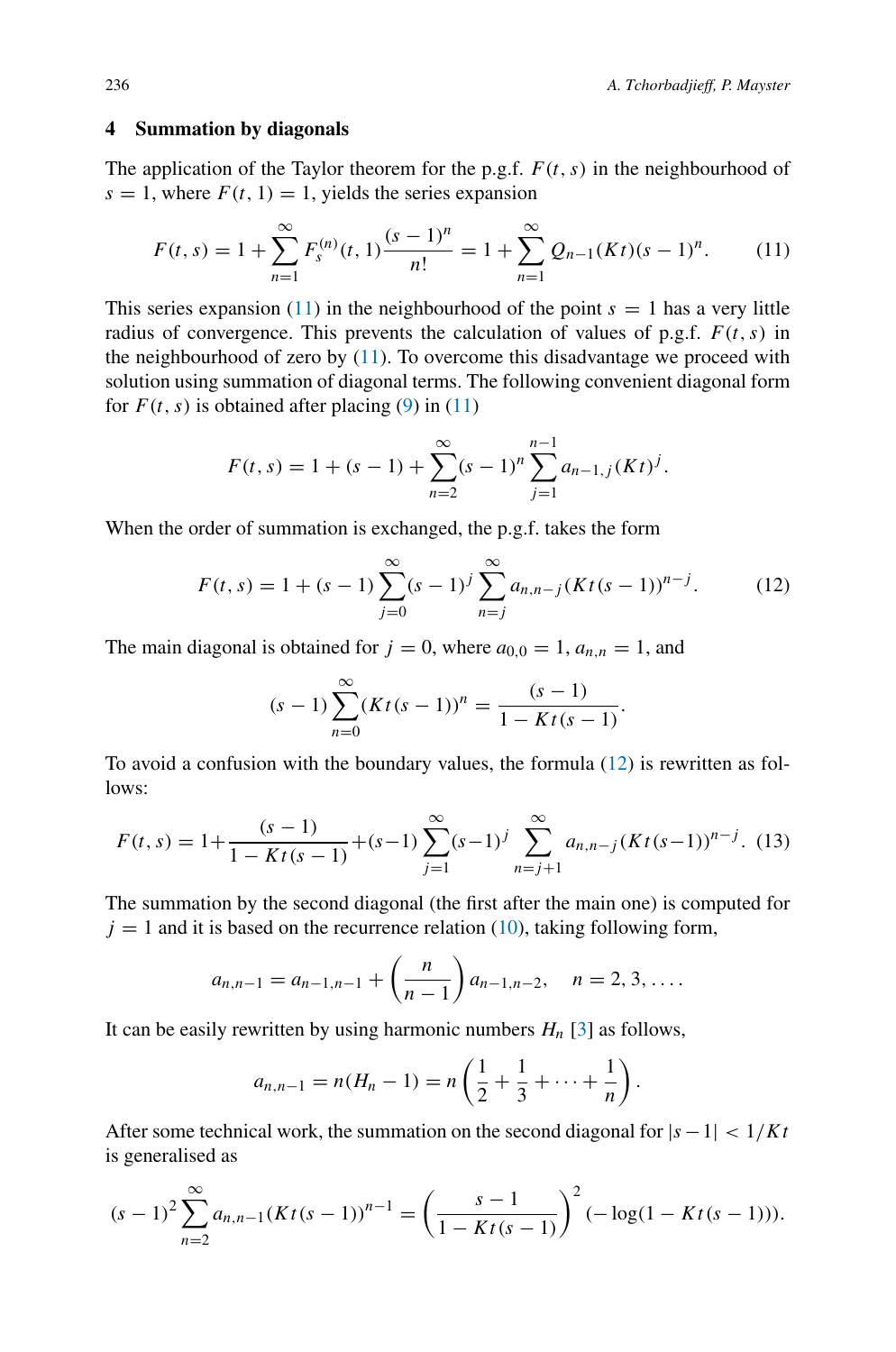#### <span id="page-7-0"></span>**4 Summation by diagonals**

The application of the Taylor theorem for the p.g.f.  $F(t, s)$  in the neighbourhood of  $s = 1$ , where  $F(t, 1) = 1$ , yields the series expansion

<span id="page-7-1"></span>
$$
F(t,s) = 1 + \sum_{n=1}^{\infty} F_s^{(n)}(t,1) \frac{(s-1)^n}{n!} = 1 + \sum_{n=1}^{\infty} Q_{n-1}(Kt)(s-1)^n.
$$
 (11)

This series expansion [\(11\)](#page-7-1) in the neighbourhood of the point  $s = 1$  has a very little radius of convergence. This prevents the calculation of values of p.g.f.  $F(t, s)$  in the neighbourhood of zero by [\(11\)](#page-7-1). To overcome this disadvantage we proceed with solution using summation of diagonal terms. The following convenient diagonal form for  $F(t, s)$  is obtained after placing  $(9)$  in  $(11)$ 

$$
F(t,s) = 1 + (s-1) + \sum_{n=2}^{\infty} (s-1)^n \sum_{j=1}^{n-1} a_{n-1,j} (Kt)^j.
$$

When the order of summation is exchanged, the p.g.f. takes the form

<span id="page-7-2"></span>
$$
F(t,s) = 1 + (s-1) \sum_{j=0}^{\infty} (s-1)^j \sum_{n=j}^{\infty} a_{n,n-j} (Kt(s-1))^{n-j}.
$$
 (12)

*.*

The main diagonal is obtained for  $j = 0$ , where  $a_{0,0} = 1$ ,  $a_{n,n} = 1$ , and

$$
(s-1)\sum_{n=0}^{\infty} (Kt(s-1))^n = \frac{(s-1)}{1 - Kt(s-1)}
$$

To avoid a confusion with the boundary values, the formula [\(12\)](#page-7-2) is rewritten as follows:

<span id="page-7-3"></span>
$$
F(t,s) = 1 + \frac{(s-1)}{1 - Kt(s-1)} + (s-1) \sum_{j=1}^{\infty} (s-1)^j \sum_{n=j+1}^{\infty} a_{n,n-j} (Kt(s-1))^{n-j}.
$$
 (13)

The summation by the second diagonal (the first after the main one) is computed for  $j = 1$  and it is based on the recurrence relation [\(10\)](#page-6-2), taking following form,

$$
a_{n,n-1} = a_{n-1,n-1} + \left(\frac{n}{n-1}\right) a_{n-1,n-2}, \quad n = 2, 3, \ldots
$$

It can be easily rewritten by using harmonic numbers  $H_n$  [\[3](#page-15-9)] as follows,

$$
a_{n,n-1} = n(H_n - 1) = n\left(\frac{1}{2} + \frac{1}{3} + \cdots + \frac{1}{n}\right).
$$

After some technical work, the summation on the second diagonal for  $|s - 1| < 1/Kt$ is generalised as

$$
(s-1)^2 \sum_{n=2}^{\infty} a_{n,n-1} (Kt(s-1))^{n-1} = \left(\frac{s-1}{1-Kt(s-1)}\right)^2 (-\log(1-Kt(s-1))).
$$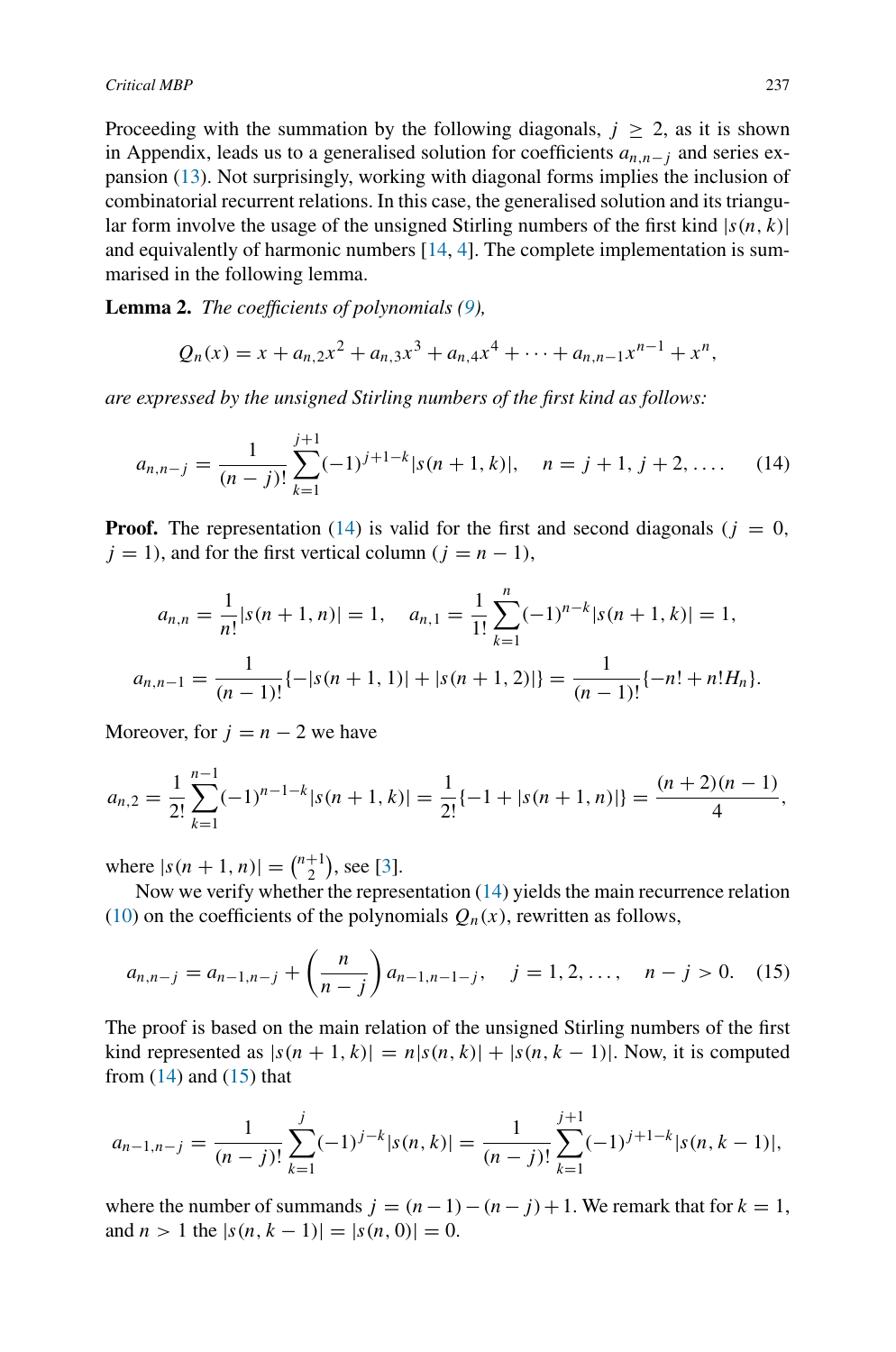Proceeding with the summation by the following diagonals,  $j \ge 2$ , as it is shown in Appendix, leads us to a generalised solution for coefficients *an,n*<sup>−</sup>*<sup>j</sup>* and series expansion [\(13\)](#page-7-3). Not surprisingly, working with diagonal forms implies the inclusion of combinatorial recurrent relations. In this case, the generalised solution and its triangular form involve the usage of the unsigned Stirling numbers of the first kind  $|s(n, k)|$ and equivalently of harmonic numbers  $[14, 4]$  $[14, 4]$  $[14, 4]$  $[14, 4]$ . The complete implementation is summarised in the following lemma.

**Lemma 2.** *The coefficients of polynomials [\(9\)](#page-6-1),*

$$
Q_n(x) = x + a_{n,2}x^2 + a_{n,3}x^3 + a_{n,4}x^4 + \cdots + a_{n,n-1}x^{n-1} + x^n,
$$

*are expressed by the unsigned Stirling numbers of the first kind as follows:*

<span id="page-8-0"></span>
$$
a_{n,n-j} = \frac{1}{(n-j)!} \sum_{k=1}^{j+1} (-1)^{j+1-k} |s(n+1,k)|, \quad n = j+1, j+2, \dots \quad (14)
$$

**Proof.** The representation [\(14\)](#page-8-0) is valid for the first and second diagonals ( $j = 0$ ,  $j = 1$ , and for the first vertical column  $(j = n - 1)$ ,

$$
a_{n,n} = \frac{1}{n!} |s(n+1,n)| = 1, \quad a_{n,1} = \frac{1}{1!} \sum_{k=1}^{n} (-1)^{n-k} |s(n+1,k)| = 1,
$$
  

$$
a_{n,n-1} = \frac{1}{(n-1)!} \{-|s(n+1,1)| + |s(n+1,2)|\} = \frac{1}{(n-1)!} \{-n! + n! H_n\}.
$$

Moreover, for  $j = n - 2$  we have

$$
a_{n,2} = \frac{1}{2!} \sum_{k=1}^{n-1} (-1)^{n-1-k} |s(n+1,k)| = \frac{1}{2!} \{-1 + |s(n+1,n)|\} = \frac{(n+2)(n-1)}{4},
$$

where  $|s(n + 1, n)| = \binom{n+1}{2}$  $\binom{+1}{2}$ , see [\[3\]](#page-15-9).

Now we verify whether the representation [\(14\)](#page-8-0) yields the main recurrence relation [\(10\)](#page-6-2) on the coefficients of the polynomials  $Q_n(x)$ , rewritten as follows,

<span id="page-8-1"></span>
$$
a_{n,n-j} = a_{n-1,n-j} + \left(\frac{n}{n-j}\right) a_{n-1,n-1-j}, \quad j = 1, 2, \dots, \quad n-j > 0. \tag{15}
$$

The proof is based on the main relation of the unsigned Stirling numbers of the first kind represented as  $|s(n+1, k)| = n|s(n, k)| + |s(n, k-1)|$ . Now, it is computed from  $(14)$  and  $(15)$  that

$$
a_{n-1,n-j} = \frac{1}{(n-j)!} \sum_{k=1}^{j} (-1)^{j-k} |s(n,k)| = \frac{1}{(n-j)!} \sum_{k=1}^{j+1} (-1)^{j+1-k} |s(n,k-1)|,
$$

where the number of summands  $j = (n-1) - (n-j) + 1$ . We remark that for  $k = 1$ , and  $n > 1$  the  $|s(n, k - 1)| = |s(n, 0)| = 0$ .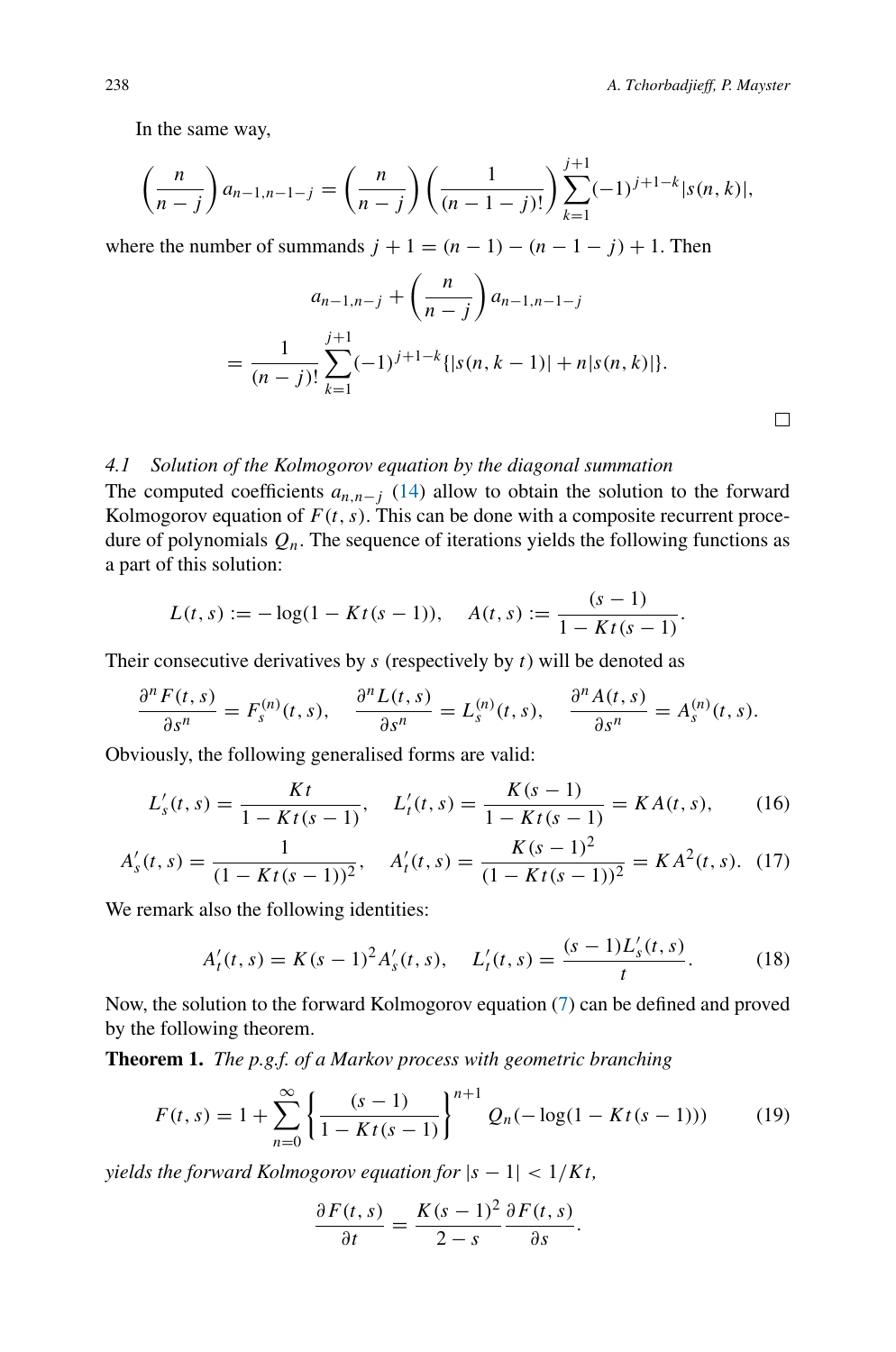In the same way,

$$
\left(\frac{n}{n-j}\right)a_{n-1,n-1-j} = \left(\frac{n}{n-j}\right)\left(\frac{1}{(n-1-j)!}\right)\sum_{k=1}^{j+1}(-1)^{j+1-k}|s(n,k)|,
$$

where the number of summands  $j + 1 = (n - 1) - (n - 1 - j) + 1$ . Then

$$
a_{n-1,n-j} + \left(\frac{n}{n-j}\right) a_{n-1,n-1-j}
$$
  
= 
$$
\frac{1}{(n-j)!} \sum_{k=1}^{j+1} (-1)^{j+1-k} \{ |s(n, k-1)| + n |s(n, k)| \}.
$$

## *4.1 Solution of the Kolmogorov equation by the diagonal summation*

The computed coefficients  $a_{n,n-j}$  [\(14\)](#page-8-0) allow to obtain the solution to the forward Kolmogorov equation of  $F(t, s)$ . This can be done with a composite recurrent procedure of polynomials  $Q_n$ . The sequence of iterations yields the following functions as a part of this solution:

$$
L(t,s) := -\log(1 - Kt(s-1)), \quad A(t,s) := \frac{(s-1)}{1 - Kt(s-1)}.
$$

Their consecutive derivatives by *s* (respectively by *t*) will be denoted as

$$
\frac{\partial^n F(t,s)}{\partial s^n} = F_s^{(n)}(t,s), \quad \frac{\partial^n L(t,s)}{\partial s^n} = L_s^{(n)}(t,s), \quad \frac{\partial^n A(t,s)}{\partial s^n} = A_s^{(n)}(t,s).
$$

Obviously, the following generalised forms are valid:

$$
L'_{s}(t,s) = \frac{Kt}{1 - Kt(s-1)}, \quad L'_{t}(t,s) = \frac{K(s-1)}{1 - Kt(s-1)} = KA(t,s),\tag{16}
$$

$$
A'_s(t,s) = \frac{1}{(1 - Kt(s-1))^2}, \quad A'_t(t,s) = \frac{K(s-1)^2}{(1 - Kt(s-1))^2} = KA^2(t,s). \tag{17}
$$

We remark also the following identities:

<span id="page-9-2"></span>
$$
A'_t(t,s) = K(s-1)^2 A'_s(t,s), \quad L'_t(t,s) = \frac{(s-1)L'_s(t,s)}{t}.
$$
 (18)

Now, the solution to the forward Kolmogorov equation [\(7\)](#page-5-1) can be defined and proved by the following theorem.

**Theorem 1.** *The p.g.f. of a Markov process with geometric branching*

<span id="page-9-0"></span>
$$
F(t,s) = 1 + \sum_{n=0}^{\infty} \left\{ \frac{(s-1)}{1 - Kt(s-1)} \right\}^{n+1} Q_n(-\log(1 - Kt(s-1))) \tag{19}
$$

*yields the forward Kolmogorov equation for*  $|s - 1| < 1/Kt$ ,

$$
\frac{\partial F(t,s)}{\partial t} = \frac{K(s-1)^2}{2-s} \frac{\partial F(t,s)}{\partial s}.
$$

<span id="page-9-1"></span> $\Box$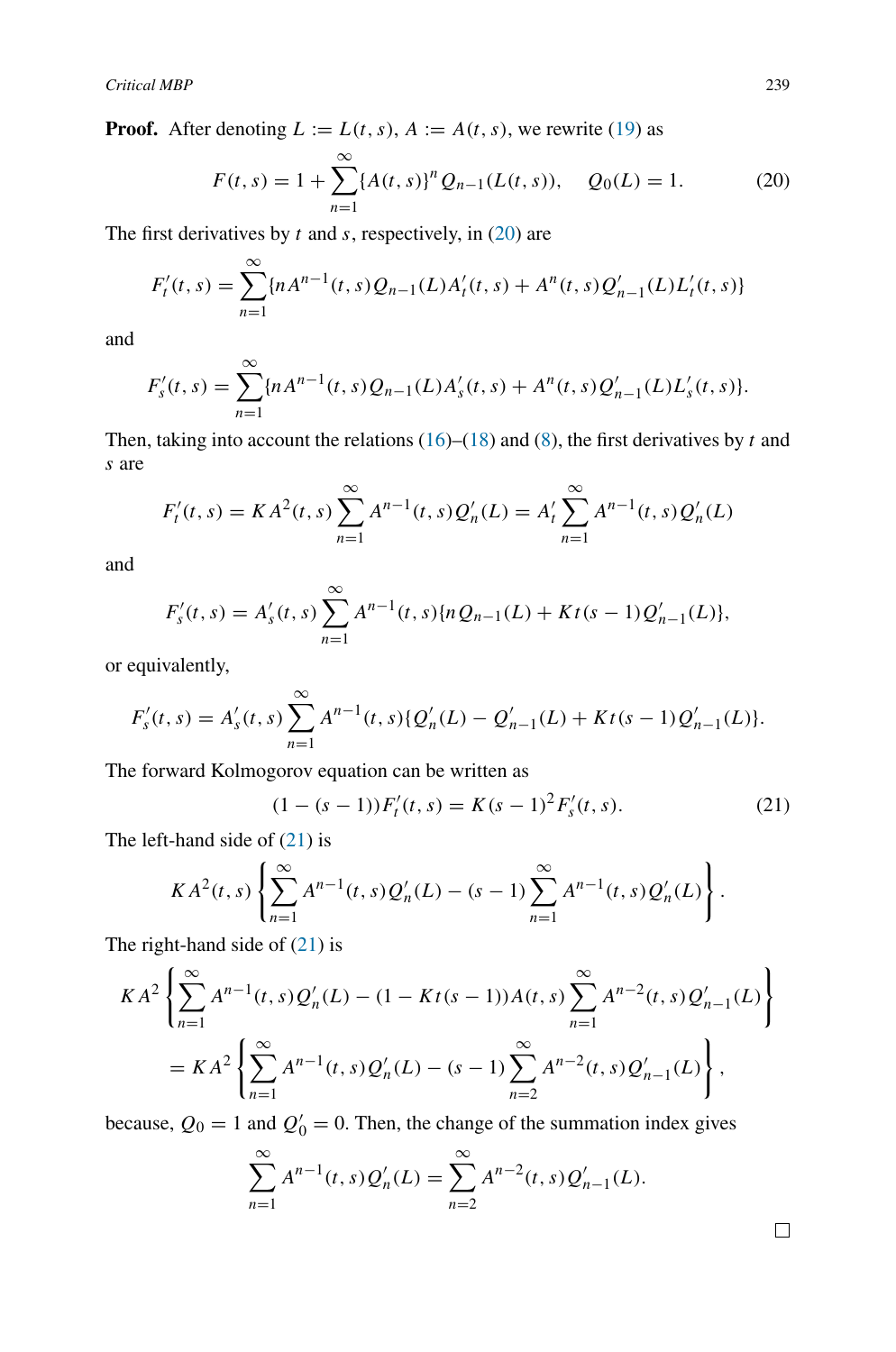**Proof.** After denoting  $L := L(t, s)$ ,  $A := A(t, s)$ , we rewrite [\(19\)](#page-9-0) as

<span id="page-10-0"></span>
$$
F(t,s) = 1 + \sum_{n=1}^{\infty} \{A(t,s)\}^n Q_{n-1}(L(t,s)), \quad Q_0(L) = 1.
$$
 (20)

The first derivatives by *t* and *s*, respectively, in [\(20\)](#page-10-0) are

$$
F'_{t}(t,s) = \sum_{n=1}^{\infty} \{n A^{n-1}(t,s) Q_{n-1}(L) A'_{t}(t,s) + A^{n}(t,s) Q'_{n-1}(L) L'_{t}(t,s) \}
$$

and

$$
F'_{s}(t,s) = \sum_{n=1}^{\infty} \{n A^{n-1}(t,s) Q_{n-1}(L) A'_{s}(t,s) + A^{n}(t,s) Q'_{n-1}(L) L'_{s}(t,s) \}.
$$

Then, taking into account the relations  $(16)$ – $(18)$  and  $(8)$ , the first derivatives by *t* and *s* are

$$
F'_{t}(t,s) = KA^{2}(t,s) \sum_{n=1}^{\infty} A^{n-1}(t,s) Q'_{n}(L) = A'_{t} \sum_{n=1}^{\infty} A^{n-1}(t,s) Q'_{n}(L)
$$

and

$$
F'_{s}(t,s) = A'_{s}(t,s) \sum_{n=1}^{\infty} A^{n-1}(t,s) \{ nQ_{n-1}(L) + Kt(s-1)Q'_{n-1}(L) \},\,
$$

or equivalently,

$$
F'_{s}(t,s) = A'_{s}(t,s) \sum_{n=1}^{\infty} A^{n-1}(t,s) \{ Q'_{n}(L) - Q'_{n-1}(L) + Kt(s-1)Q'_{n-1}(L) \}.
$$

The forward Kolmogorov equation can be written as

<span id="page-10-1"></span>
$$
(1 - (s - 1))F'_t(t, s) = K(s - 1)^2 F'_s(t, s).
$$
\n(21)

The left-hand side of [\(21\)](#page-10-1) is

$$
KA^{2}(t,s)\left\{\sum_{n=1}^{\infty}A^{n-1}(t,s)Q'_{n}(L)-(s-1)\sum_{n=1}^{\infty}A^{n-1}(t,s)Q'_{n}(L)\right\}.
$$

The right-hand side of [\(21\)](#page-10-1) is

$$
KA^{2}\left\{\sum_{n=1}^{\infty}A^{n-1}(t,s)Q'_{n}(L) - (1 - Kt(s-1))A(t,s)\sum_{n=1}^{\infty}A^{n-2}(t,s)Q'_{n-1}(L)\right\}
$$
  
= 
$$
KA^{2}\left\{\sum_{n=1}^{\infty}A^{n-1}(t,s)Q'_{n}(L) - (s-1)\sum_{n=2}^{\infty}A^{n-2}(t,s)Q'_{n-1}(L)\right\},
$$

because,  $Q_0 = 1$  and  $Q'_0 = 0$ . Then, the change of the summation index gives

$$
\sum_{n=1}^{\infty} A^{n-1}(t,s) Q'_n(L) = \sum_{n=2}^{\infty} A^{n-2}(t,s) Q'_{n-1}(L).
$$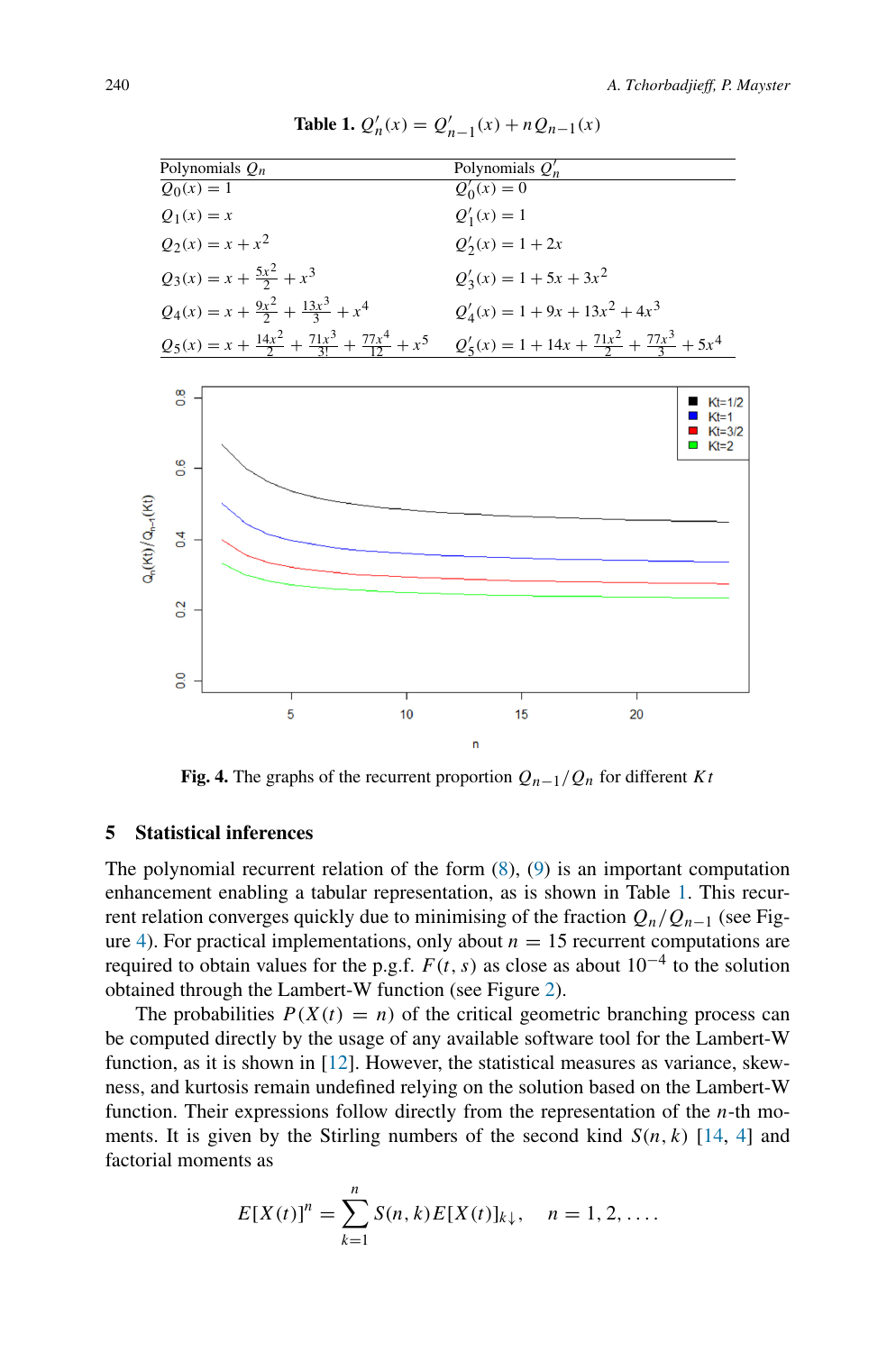<span id="page-11-2"></span><span id="page-11-1"></span>

**Table 1.**  $Q'_n(x) = Q'_{n-1}(x) + nQ_{n-1}(x)$ 

**Fig. 4.** The graphs of the recurrent proportion  $Q_{n-1}/Q_n$  for different *Kt* 

#### <span id="page-11-0"></span>**5 Statistical inferences**

The polynomial recurrent relation of the form  $(8)$ ,  $(9)$  is an important computation enhancement enabling a tabular representation, as is shown in Table [1.](#page-11-1) This recurrent relation converges quickly due to minimising of the fraction *Qn/Qn*<sup>−</sup><sup>1</sup> (see Fig-ure [4\)](#page-11-2). For practical implementations, only about  $n = 15$  recurrent computations are required to obtain values for the p.g.f.  $F(t, s)$  as close as about  $10^{-4}$  to the solution obtained through the Lambert-W function (see Figure [2\)](#page-2-0).

The probabilities  $P(X(t) = n)$  of the critical geometric branching process can be computed directly by the usage of any available software tool for the Lambert-W function, as it is shown in [\[12](#page-15-0)]. However, the statistical measures as variance, skewness, and kurtosis remain undefined relying on the solution based on the Lambert-W function. Their expressions follow directly from the representation of the *n*-th moments. It is given by the Stirling numbers of the second kind  $S(n, k)$  [\[14](#page-15-10), [4\]](#page-15-11) and factorial moments as

$$
E[X(t)]^{n} = \sum_{k=1}^{n} S(n,k)E[X(t)]_{k\downarrow}, \quad n = 1, 2, ....
$$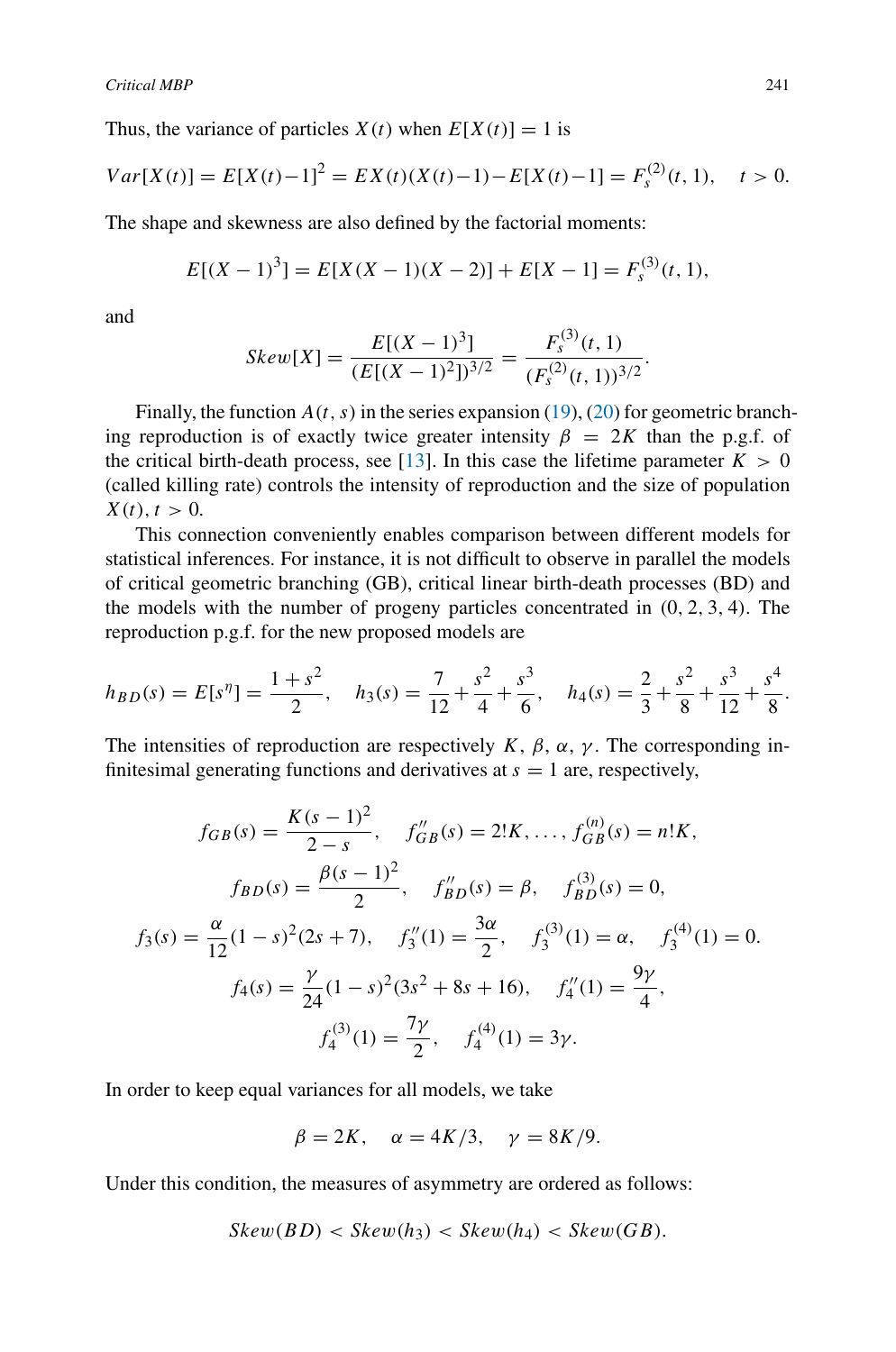Thus, the variance of particles  $X(t)$  when  $E[X(t)] = 1$  is

$$
Var[X(t)] = E[X(t) - 1]^2 = EX(t)(X(t) - 1) - E[X(t) - 1] = F_s^{(2)}(t, 1), \quad t > 0.
$$

The shape and skewness are also defined by the factorial moments:

$$
E[(X-1)3] = E[X(X-1)(X-2)] + E[X-1] = Fs(3)(t, 1),
$$

and

$$
Skew[X] = \frac{E[(X-1)^3]}{(E[(X-1)^2])^{3/2}} = \frac{F_s^{(3)}(t, 1)}{(F_s^{(2)}(t, 1))^{3/2}}.
$$

Finally, the function  $A(t, s)$  in the series expansion [\(19\)](#page-9-0), [\(20\)](#page-10-0) for geometric branching reproduction is of exactly twice greater intensity  $\beta = 2K$  than the p.g.f. of the critical birth-death process, see [\[13](#page-15-12)]. In this case the lifetime parameter  $K > 0$ (called killing rate) controls the intensity of reproduction and the size of population  $X(t), t > 0.$ 

This connection conveniently enables comparison between different models for statistical inferences. For instance, it is not difficult to observe in parallel the models of critical geometric branching (GB), critical linear birth-death processes (BD) and the models with the number of progeny particles concentrated in *(*0*,* 2*,* 3*,* 4*)*. The reproduction p.g.f. for the new proposed models are

$$
h_{BD}(s) = E[sη] = \frac{1+s2}{2}, \quad h_3(s) = \frac{7}{12} + \frac{s2}{4} + \frac{s3}{6}, \quad h_4(s) = \frac{2}{3} + \frac{s2}{8} + \frac{s3}{12} + \frac{s4}{8}.
$$

The intensities of reproduction are respectively *K*,  $\beta$ ,  $\alpha$ ,  $\gamma$ . The corresponding infinitesimal generating functions and derivatives at  $s = 1$  are, respectively,

$$
f_{GB}(s) = \frac{K(s-1)^2}{2-s}, \quad f''_{GB}(s) = 2!K, \dots, f^{(n)}_{GB}(s) = n!K,
$$

$$
f_{BD}(s) = \frac{\beta(s-1)^2}{2}, \quad f''_{BD}(s) = \beta, \quad f^{(3)}_{BD}(s) = 0,
$$

$$
f_3(s) = \frac{\alpha}{12}(1-s)^2(2s+7), \quad f''_3(1) = \frac{3\alpha}{2}, \quad f^{(3)}_3(1) = \alpha, \quad f^{(4)}_3(1) = 0.
$$

$$
f_4(s) = \frac{\gamma}{24}(1-s)^2(3s^2+8s+16), \quad f''_4(1) = \frac{9\gamma}{4},
$$

$$
f_4^{(3)}(1) = \frac{7\gamma}{2}, \quad f_4^{(4)}(1) = 3\gamma.
$$

In order to keep equal variances for all models, we take

$$
\beta = 2K, \quad \alpha = 4K/3, \quad \gamma = 8K/9.
$$

Under this condition, the measures of asymmetry are ordered as follows:

$$
Skew(BD) < Skew(h_3) < Skew(h_4) < Skew(GB).
$$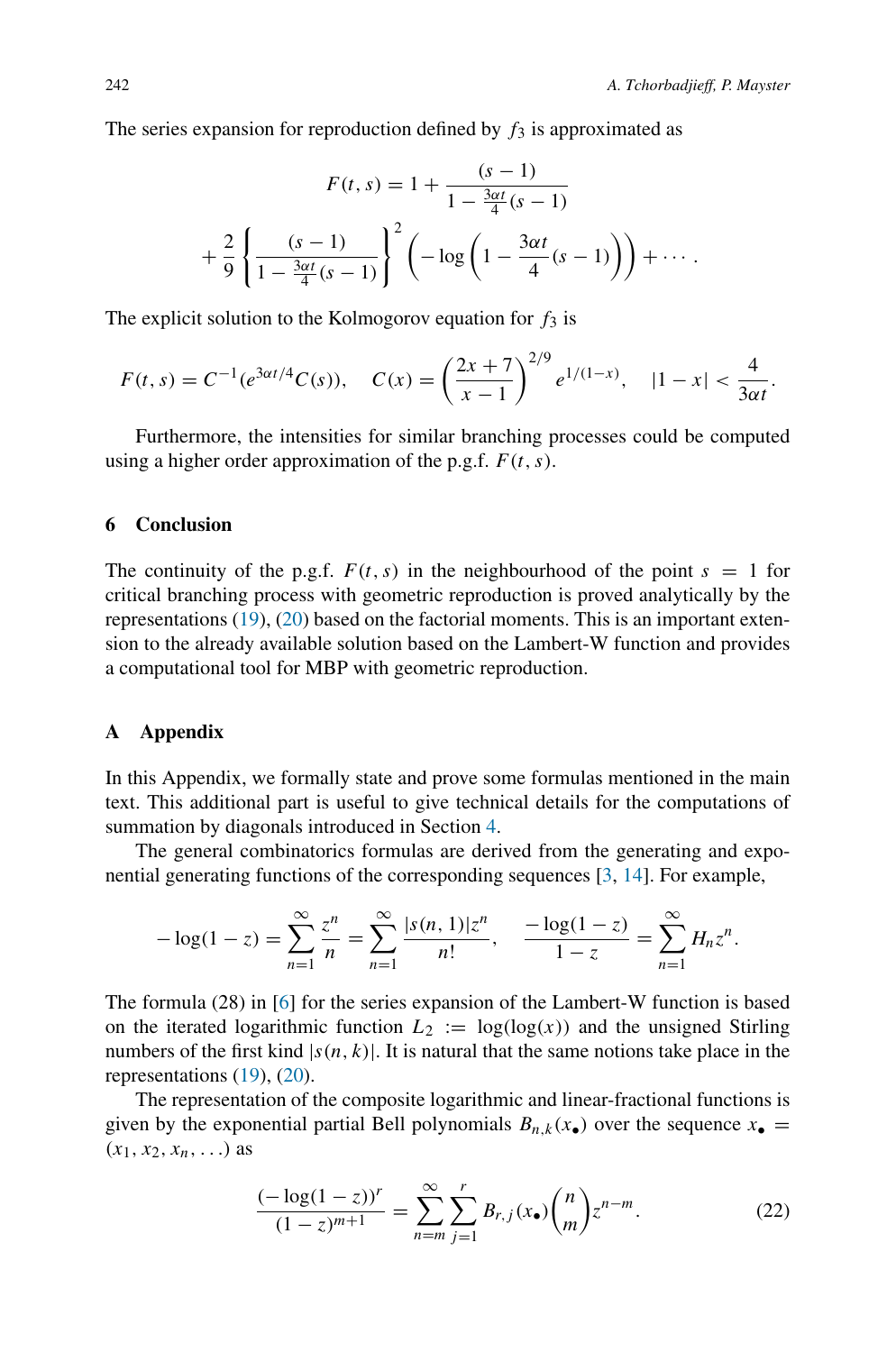The series expansion for reproduction defined by  $f_3$  is approximated as

$$
F(t,s) = 1 + \frac{(s-1)}{1 - \frac{3\alpha t}{4}(s-1)}
$$

$$
+ \frac{2}{9} \left\{ \frac{(s-1)}{1 - \frac{3\alpha t}{4}(s-1)} \right\}^{2} \left( -\log \left( 1 - \frac{3\alpha t}{4}(s-1) \right) \right) + \cdots.
$$

The explicit solution to the Kolmogorov equation for  $f_3$  is

$$
F(t,s) = C^{-1}(e^{3\alpha t/4}C(s)), \quad C(x) = \left(\frac{2x+7}{x-1}\right)^{2/9}e^{1/(1-x)}, \quad |1-x| < \frac{4}{3\alpha t}.
$$

Furthermore, the intensities for similar branching processes could be computed using a higher order approximation of the p.g.f. *F (t, s)*.

## **6 Conclusion**

The continuity of the p.g.f.  $F(t, s)$  in the neighbourhood of the point  $s = 1$  for critical branching process with geometric reproduction is proved analytically by the representations [\(19\)](#page-9-0), [\(20\)](#page-10-0) based on the factorial moments. This is an important extension to the already available solution based on the Lambert-W function and provides a computational tool for MBP with geometric reproduction.

## **A Appendix**

In this Appendix, we formally state and prove some formulas mentioned in the main text. This additional part is useful to give technical details for the computations of summation by diagonals introduced in Section [4.](#page-7-0)

The general combinatorics formulas are derived from the generating and exponential generating functions of the corresponding sequences [\[3,](#page-15-9) [14\]](#page-15-10). For example,

$$
-\log(1-z) = \sum_{n=1}^{\infty} \frac{z^n}{n} = \sum_{n=1}^{\infty} \frac{|s(n,1)|z^n}{n!}, \quad \frac{-\log(1-z)}{1-z} = \sum_{n=1}^{\infty} H_n z^n.
$$

The formula (28) in [\[6](#page-15-8)] for the series expansion of the Lambert-W function is based on the iterated logarithmic function  $L_2 := \log(\log(x))$  and the unsigned Stirling numbers of the first kind  $|s(n, k)|$ . It is natural that the same notions take place in the representations [\(19\)](#page-9-0), [\(20\)](#page-10-0).

The representation of the composite logarithmic and linear-fractional functions is given by the exponential partial Bell polynomials  $B_{n,k}(x_{\bullet})$  over the sequence  $x_{\bullet} =$  $(x_1, x_2, x_n, ...)$  as

<span id="page-13-0"></span>
$$
\frac{(-\log(1-z))^r}{(1-z)^{m+1}} = \sum_{n=m}^{\infty} \sum_{j=1}^r B_{r,j}(x_{\bullet}) {n \choose m} z^{n-m}.
$$
 (22)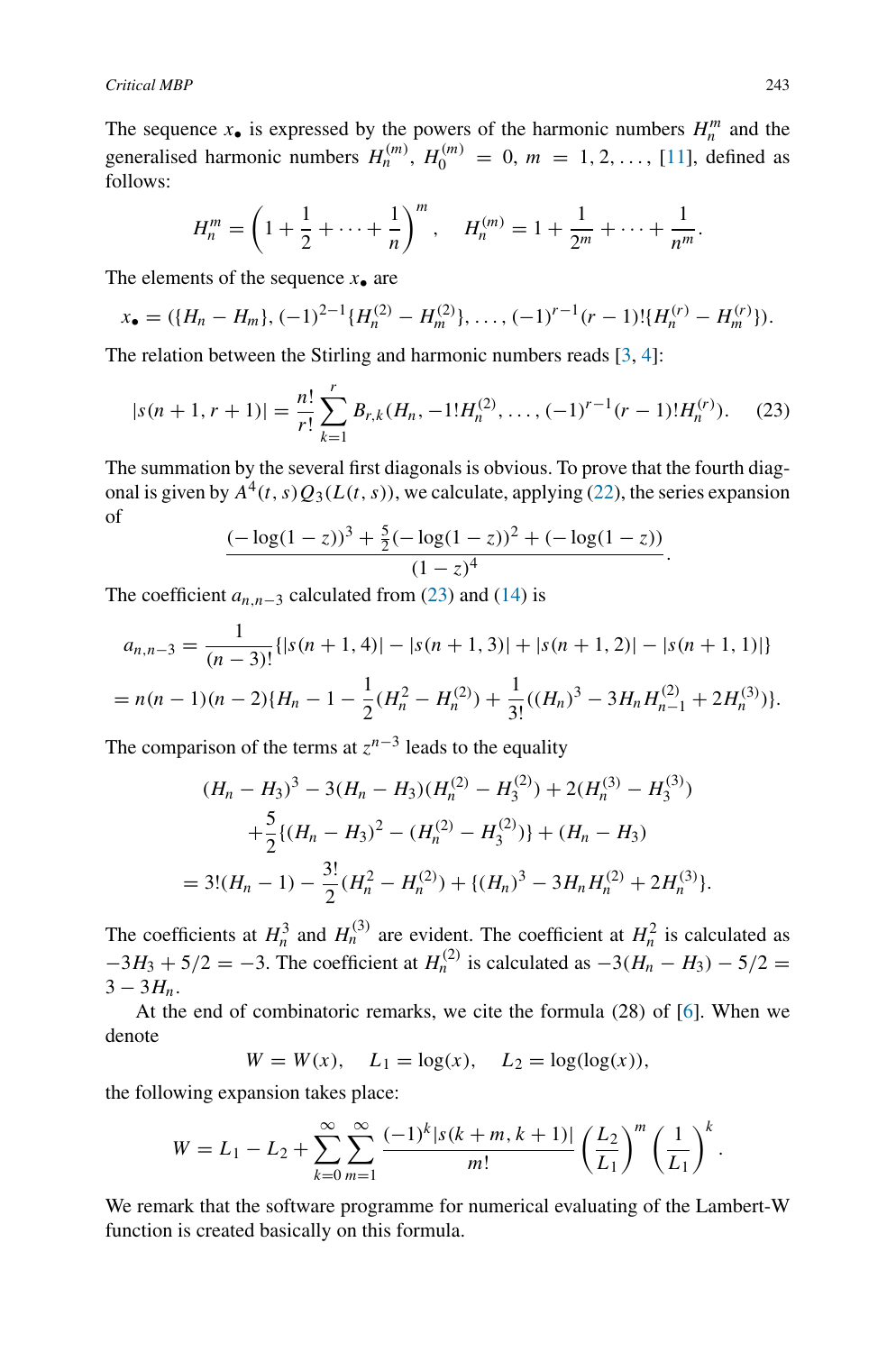The sequence  $x_{\bullet}$  is expressed by the powers of the harmonic numbers  $H_n^m$  and the generalised harmonic numbers  $H_n^{(m)}$ ,  $H_0^{(m)} = 0$ ,  $m = 1, 2, \ldots$ , [\[11\]](#page-15-13), defined as follows:

$$
H_n^m = \left(1 + \frac{1}{2} + \dots + \frac{1}{n}\right)^m, \quad H_n^{(m)} = 1 + \frac{1}{2^m} + \dots + \frac{1}{n^m}.
$$

The elements of the sequence  $x_{\bullet}$  are

$$
x_{\bullet} = (\{H_n - H_m\}, (-1)^{2-1}\{H_n^{(2)} - H_m^{(2)}\}, \ldots, (-1)^{r-1}(r-1)!\{H_n^{(r)} - H_m^{(r)}\}).
$$

The relation between the Stirling and harmonic numbers reads  $[3, 4]$  $[3, 4]$  $[3, 4]$  $[3, 4]$ :

<span id="page-14-0"></span>
$$
|s(n+1,r+1)| = \frac{n!}{r!} \sum_{k=1}^{r} B_{r,k}(H_n, -1!H_n^{(2)}, \dots, (-1)^{r-1}(r-1)!H_n^{(r)}).
$$
 (23)

The summation by the several first diagonals is obvious. To prove that the fourth diagonal is given by  $A^4(t, s)Q_3(L(t, s))$ , we calculate, applying [\(22\)](#page-13-0), the series expansion of

$$
\frac{(-\log(1-z))^3 + \frac{5}{2}(-\log(1-z))^2 + (-\log(1-z))}{(1-z)^4}.
$$

The coefficient  $a_{n,n-3}$  calculated from [\(23\)](#page-14-0) and [\(14\)](#page-8-0) is

$$
a_{n,n-3} = \frac{1}{(n-3)!} \{ |s(n+1,4)| - |s(n+1,3)| + |s(n+1,2)| - |s(n+1,1)| \}
$$
  
=  $n(n-1)(n-2)\{H_n - 1 - \frac{1}{2}(H_n^2 - H_n^{(2)}) + \frac{1}{3!}((H_n)^3 - 3H_nH_{n-1}^{(2)} + 2H_n^{(3)})\}.$ 

The comparison of the terms at  $z^{n-3}$  leads to the equality

$$
(H_n - H_3)^3 - 3(H_n - H_3)(H_n^{(2)} - H_3^{(2)}) + 2(H_n^{(3)} - H_3^{(3)})
$$
  
+  $\frac{5}{2}\{(H_n - H_3)^2 - (H_n^{(2)} - H_3^{(2)})\} + (H_n - H_3)$   
=  $3!(H_n - 1) - \frac{3!}{2}(H_n^2 - H_n^{(2)}) + \{(H_n)^3 - 3H_nH_n^{(2)} + 2H_n^{(3)}\}.$ 

The coefficients at  $H_n^3$  and  $H_n^{(3)}$  are evident. The coefficient at  $H_n^2$  is calculated as  $-3H_3 + 5/2 = -3$ . The coefficient at  $H_n^{(2)}$  is calculated as  $-3(H_n - H_3) - 5/2 =$  $3 - 3H_n$ .

At the end of combinatoric remarks, we cite the formula *(*28*)* of [\[6](#page-15-8)]. When we denote

 $W = W(x)$ ,  $L_1 = \log(x)$ ,  $L_2 = \log(\log(x))$ ,

the following expansion takes place:

$$
W = L_1 - L_2 + \sum_{k=0}^{\infty} \sum_{m=1}^{\infty} \frac{(-1)^k |s(k+m, k+1)|}{m!} \left(\frac{L_2}{L_1}\right)^m \left(\frac{1}{L_1}\right)^k.
$$

We remark that the software programme for numerical evaluating of the Lambert-W function is created basically on this formula.